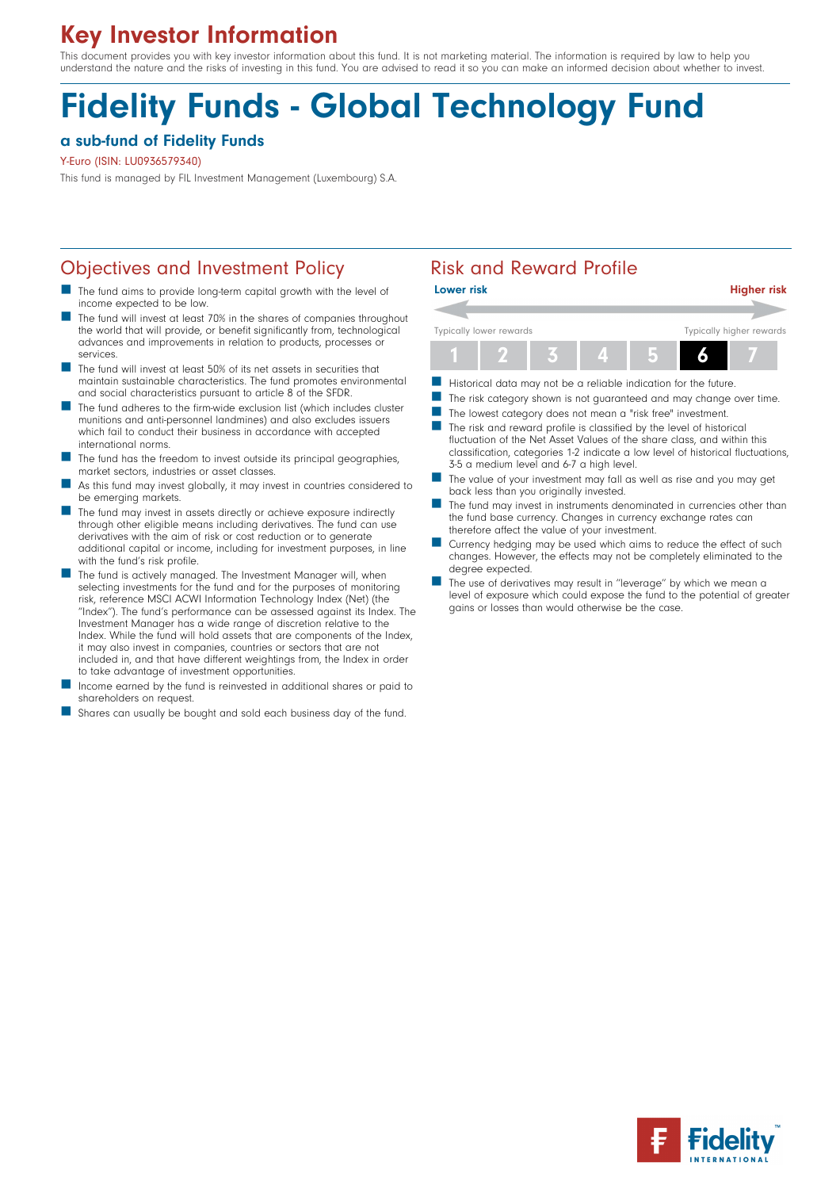## Key Investor Information

This document provides you with key investor information about this fund. It is not marketing material. The information is required by law to help you understand the nature and the risks of investing in this fund. You are advised to read it so you can make an informed decision about whether to invest.

# Fidelity Funds - Global Technology Fund

#### a sub-fund of Fidelity Funds

Y-Euro (ISIN: LU0936579340)

This fund is managed by FIL Investment Management (Luxembourg) S.A.

#### Objectives and Investment Policy **Risk and Reward Profile**

- The fund aims to provide long-term capital growth with the level of income expected to be low.
- The fund will invest at least 70% in the shares of companies throughout the world that will provide, or benefit significantly from, technological advances and improvements in relation to products, processes or services.
- n The fund will invest at least 50% of its net assets in securities that maintain sustainable characteristics. The fund promotes environmental and social characteristics pursuant to article 8 of the SFDR.
- The fund adheres to the firm-wide exclusion list (which includes cluster munitions and anti-personnel landmines) and also excludes issuers which fail to conduct their business in accordance with accepted international norms.
- The fund has the freedom to invest outside its principal geographies, market sectors, industries or asset classes.
- As this fund may invest globally, it may invest in countries considered to be emerging markets.
- The fund may invest in assets directly or achieve exposure indirectly through other eligible means including derivatives. The fund can use derivatives with the aim of risk or cost reduction or to generate additional capital or income, including for investment purposes, in line with the fund's risk profile.
- The fund is actively managed. The Investment Manager will, when selecting investments for the fund and for the purposes of monitoring risk, reference MSCI ACWI Information Technology Index (Net) (the ''Index''). The fund's performance can be assessed against its Index. The Investment Manager has a wide range of discretion relative to the Index. While the fund will hold assets that are components of the Index, it may also invest in companies, countries or sectors that are not included in, and that have different weightings from, the Index in order to take advantage of investment opportunities.
- Income earned by the fund is reinvested in additional shares or paid to shareholders on request.
- Shares can usually be bought and sold each business day of the fund.



- Historical data may not be a reliable indication for the future.
- The risk category shown is not guaranteed and may change over time.
- The lowest category does not mean a "risk free" investment.
- $\blacksquare$  The risk and reward profile is classified by the level of historical fluctuation of the Net Asset Values of the share class, and within this classification, categories 1-2 indicate a low level of historical fluctuations, 3-5 a medium level and 6-7 a high level.
- The value of your investment may fall as well as rise and you may get back less than you originally invested.
- The fund may invest in instruments denominated in currencies other than the fund base currency. Changes in currency exchange rates can therefore affect the value of your investment.
- Currency hedging may be used which aims to reduce the effect of such changes. However, the effects may not be completely eliminated to the degree expected.
- The use of derivatives may result in "leverage" by which we mean a level of exposure which could expose the fund to the potential of greater gains or losses than would otherwise be the case.